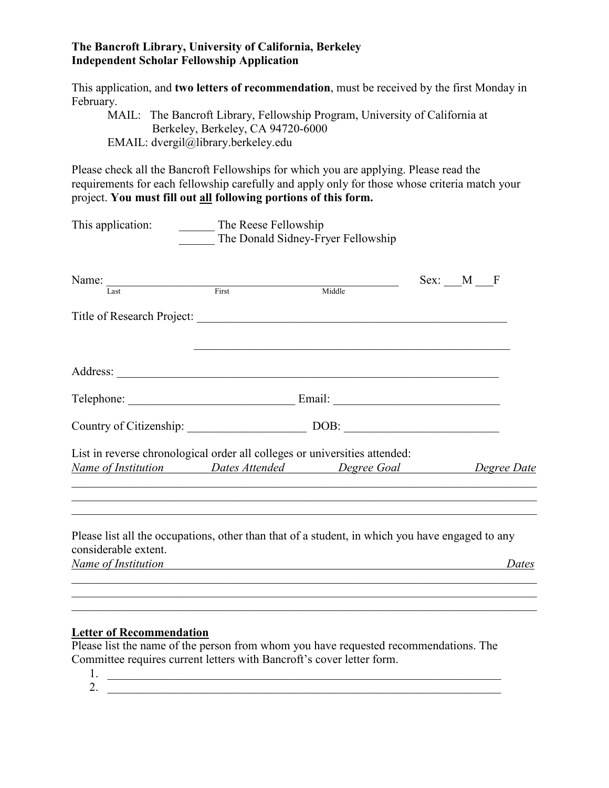## **The Bancroft Library, University of California, Berkeley Independent Scholar Fellowship Application**

This application, and **two letters of recommendation**, must be received by the first Monday in February.

MAIL: The Bancroft Library, Fellowship Program, University of California at Berkeley, Berkeley, CA 94720-6000 EMAIL: dvergil@library.berkeley.edu

Please check all the Bancroft Fellowships for which you are applying. Please read the requirements for each fellowship carefully and apply only for those whose criteria match your project. **You must fill out all following portions of this form.**

| $\overline{\text{First}}$ | Middle | $Sex:$ $M$                                                 | F                                                                                                                                                                                                                                                                                                                                                                                                                                             |
|---------------------------|--------|------------------------------------------------------------|-----------------------------------------------------------------------------------------------------------------------------------------------------------------------------------------------------------------------------------------------------------------------------------------------------------------------------------------------------------------------------------------------------------------------------------------------|
|                           |        |                                                            |                                                                                                                                                                                                                                                                                                                                                                                                                                               |
|                           |        |                                                            |                                                                                                                                                                                                                                                                                                                                                                                                                                               |
|                           |        |                                                            |                                                                                                                                                                                                                                                                                                                                                                                                                                               |
|                           |        |                                                            |                                                                                                                                                                                                                                                                                                                                                                                                                                               |
|                           |        |                                                            |                                                                                                                                                                                                                                                                                                                                                                                                                                               |
|                           |        |                                                            | Dates                                                                                                                                                                                                                                                                                                                                                                                                                                         |
|                           |        | The Reese Fellowship<br>The Donald Sidney-Fryer Fellowship | Title of Research Project:<br>Country of Citizenship: DOB: DOB:<br>List in reverse chronological order all colleges or universities attended:<br><u>Name of Institution Dates Attended Degree Goal Degree Date</u><br>Please list all the occupations, other than that of a student, in which you have engaged to any<br><u> 1980 - Johann Barbara, martxa alemaniar argametar a contra a contra a contra a contra a contra a contra a co</u> |

## **Letter of Recommendation**

Please list the name of the person from whom you have requested recommendations. The Committee requires current letters with Bancroft's cover letter form.

1. 2.  $\frac{1}{\sqrt{2\pi}}$